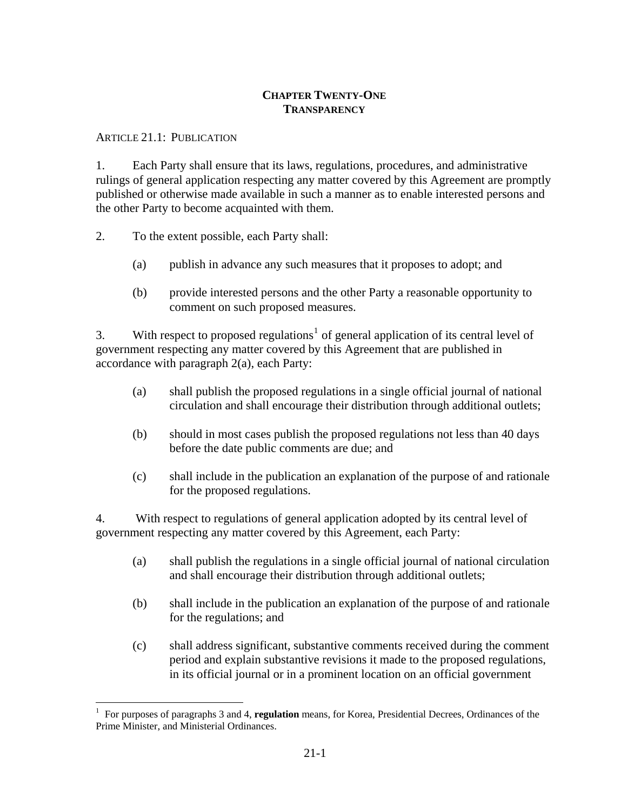# **CHAPTER TWENTY-ONE TRANSPARENCY**

## ARTICLE 21.1: PUBLICATION

 $\overline{a}$ 

1. Each Party shall ensure that its laws, regulations, procedures, and administrative rulings of general application respecting any matter covered by this Agreement are promptly published or otherwise made available in such a manner as to enable interested persons and the other Party to become acquainted with them.

- 2. To the extent possible, each Party shall:
	- (a) publish in advance any such measures that it proposes to adopt; and
	- (b) provide interested persons and the other Party a reasonable opportunity to comment on such proposed measures.

3. With respect to proposed regulations<sup>[1](#page-0-0)</sup> of general application of its central level of government respecting any matter covered by this Agreement that are published in accordance with paragraph 2(a), each Party:

- (a) shall publish the proposed regulations in a single official journal of national circulation and shall encourage their distribution through additional outlets;
- (b) should in most cases publish the proposed regulations not less than 40 days before the date public comments are due; and
- (c) shall include in the publication an explanation of the purpose of and rationale for the proposed regulations.

4. With respect to regulations of general application adopted by its central level of government respecting any matter covered by this Agreement, each Party:

- (a) shall publish the regulations in a single official journal of national circulation and shall encourage their distribution through additional outlets;
- (b) shall include in the publication an explanation of the purpose of and rationale for the regulations; and
- (c) shall address significant, substantive comments received during the comment period and explain substantive revisions it made to the proposed regulations, in its official journal or in a prominent location on an official government

<span id="page-0-0"></span><sup>1</sup> For purposes of paragraphs 3 and 4, **regulation** means, for Korea, Presidential Decrees, Ordinances of the Prime Minister, and Ministerial Ordinances.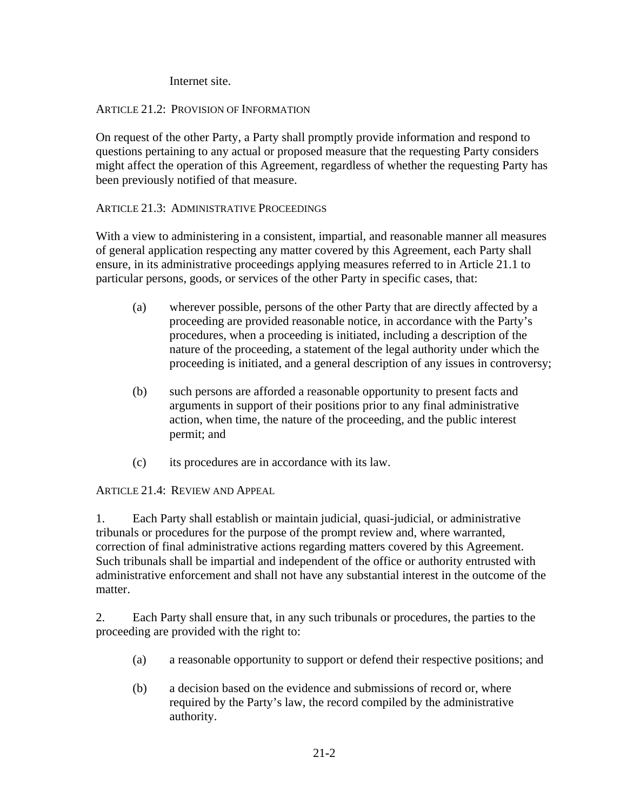Internet site.

## ARTICLE 21.2: PROVISION OF INFORMATION

On request of the other Party, a Party shall promptly provide information and respond to questions pertaining to any actual or proposed measure that the requesting Party considers might affect the operation of this Agreement, regardless of whether the requesting Party has been previously notified of that measure.

## ARTICLE 21.3: ADMINISTRATIVE PROCEEDINGS

With a view to administering in a consistent, impartial, and reasonable manner all measures of general application respecting any matter covered by this Agreement, each Party shall ensure, in its administrative proceedings applying measures referred to in Article 21.1 to particular persons, goods, or services of the other Party in specific cases, that:

- (a) wherever possible, persons of the other Party that are directly affected by a proceeding are provided reasonable notice, in accordance with the Party's procedures, when a proceeding is initiated, including a description of the nature of the proceeding, a statement of the legal authority under which the proceeding is initiated, and a general description of any issues in controversy;
- (b) such persons are afforded a reasonable opportunity to present facts and arguments in support of their positions prior to any final administrative action, when time, the nature of the proceeding, and the public interest permit; and
- (c) its procedures are in accordance with its law.

ARTICLE 21.4: REVIEW AND APPEAL

1. Each Party shall establish or maintain judicial, quasi-judicial, or administrative tribunals or procedures for the purpose of the prompt review and, where warranted, correction of final administrative actions regarding matters covered by this Agreement. Such tribunals shall be impartial and independent of the office or authority entrusted with administrative enforcement and shall not have any substantial interest in the outcome of the matter.

2. Each Party shall ensure that, in any such tribunals or procedures, the parties to the proceeding are provided with the right to:

- (a) a reasonable opportunity to support or defend their respective positions; and
- (b) a decision based on the evidence and submissions of record or, where required by the Party's law, the record compiled by the administrative authority.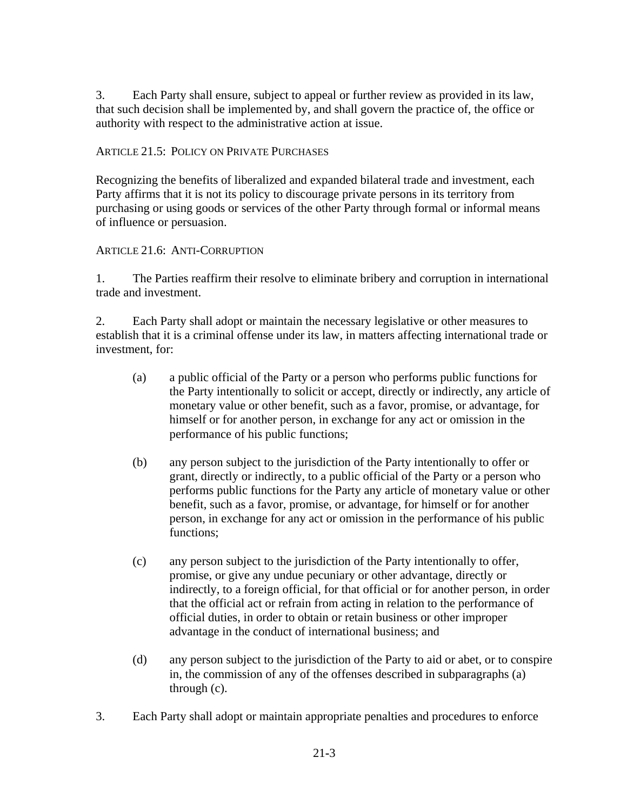3. Each Party shall ensure, subject to appeal or further review as provided in its law, that such decision shall be implemented by, and shall govern the practice of, the office or authority with respect to the administrative action at issue.

ARTICLE 21.5: POLICY ON PRIVATE PURCHASES

Recognizing the benefits of liberalized and expanded bilateral trade and investment, each Party affirms that it is not its policy to discourage private persons in its territory from purchasing or using goods or services of the other Party through formal or informal means of influence or persuasion.

## ARTICLE 21.6: ANTI-CORRUPTION

1. The Parties reaffirm their resolve to eliminate bribery and corruption in international trade and investment.

2. Each Party shall adopt or maintain the necessary legislative or other measures to establish that it is a criminal offense under its law, in matters affecting international trade or investment, for:

- (a) a public official of the Party or a person who performs public functions for the Party intentionally to solicit or accept, directly or indirectly, any article of monetary value or other benefit, such as a favor, promise, or advantage, for himself or for another person, in exchange for any act or omission in the performance of his public functions;
- (b) any person subject to the jurisdiction of the Party intentionally to offer or grant, directly or indirectly, to a public official of the Party or a person who performs public functions for the Party any article of monetary value or other benefit, such as a favor, promise, or advantage, for himself or for another person, in exchange for any act or omission in the performance of his public functions;
- (c) any person subject to the jurisdiction of the Party intentionally to offer, promise, or give any undue pecuniary or other advantage, directly or indirectly, to a foreign official, for that official or for another person, in order that the official act or refrain from acting in relation to the performance of official duties, in order to obtain or retain business or other improper advantage in the conduct of international business; and
- (d) any person subject to the jurisdiction of the Party to aid or abet, or to conspire in, the commission of any of the offenses described in subparagraphs (a) through (c).
- 3. Each Party shall adopt or maintain appropriate penalties and procedures to enforce